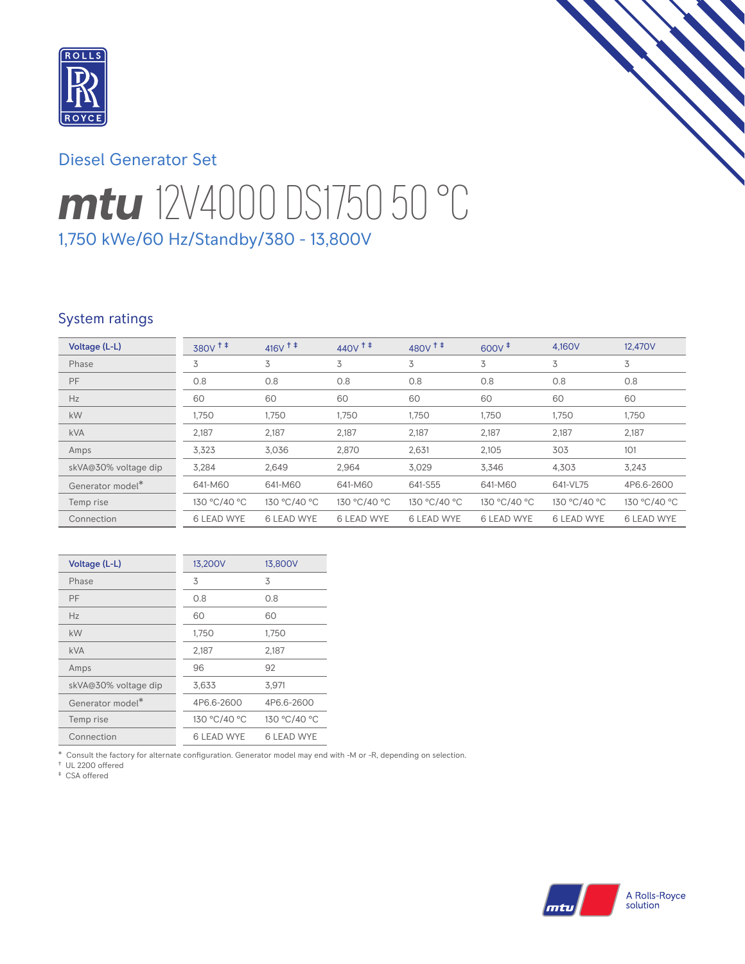

# Diesel Generator Set

# *mtu* 12V4000 DS1750 50 °C 1,750 kWe/60 Hz/Standby/380 - 13,800V

# System ratings

| Voltage (L-L)        | 380V <sup>++</sup> | $416V$ <sup>++</sup> | $440V$ <sup>++</sup> | $480V$ <sup>++</sup> | $600V^{\ddagger}$ | 4,160V            | 12,470V           |
|----------------------|--------------------|----------------------|----------------------|----------------------|-------------------|-------------------|-------------------|
| Phase                | 3                  | 3                    | 3                    | 3                    | 3                 | 3                 | 3                 |
| <b>PF</b>            | 0.8                | 0.8                  | 0.8                  | 0.8                  | 0.8               | 0.8               | 0.8               |
| Hz                   | 60                 | 60                   | 60                   | 60                   | 60                | 60                | 60                |
| kW                   | 1,750              | 1,750                | 1,750                | 1,750                | 1,750             | 1,750             | 1,750             |
| <b>kVA</b>           | 2,187              | 2,187                | 2,187                | 2,187                | 2,187             | 2,187             | 2,187             |
| Amps                 | 3,323              | 3,036                | 2,870                | 2,631                | 2,105             | 303               | 101               |
| skVA@30% voltage dip | 3,284              | 2,649                | 2,964                | 3,029                | 3,346             | 4,303             | 3,243             |
| Generator model*     | 641-M60            | 641-M60              | 641-M60              | 641-S55              | 641-M60           | 641-VL75          | 4P6.6-2600        |
| Temp rise            | 130 °C/40 °C       | 130 °C/40 °C         | 130 °C/40 °C         | 130 °C/40 °C         | 130 °C/40 °C      | 130 °C/40 °C      | 130 °C/40 °C      |
| Connection           | <b>6 LEAD WYE</b>  | <b>6 LEAD WYE</b>    | <b>6 LEAD WYE</b>    | <b>6 LEAD WYE</b>    | <b>6 LEAD WYE</b> | <b>6 LEAD WYE</b> | <b>6 LEAD WYE</b> |

| Voltage (L-L)        | 13,200V           | 13,800V           |
|----------------------|-------------------|-------------------|
| Phase                | 3                 | 3                 |
| PF                   | 0.8               | 0.8               |
| Hz                   | 60                | 60                |
| kW                   | 1,750             | 1,750             |
| <b>kVA</b>           | 2,187             | 2,187             |
| Amps                 | 96                | 92                |
| skVA@30% voltage dip | 3,633             | 3,971             |
| Generator model*     | 4P6.6-2600        | 4P6.6-2600        |
| Temp rise            | 130 °C/40 °C      | 130 °C/40 °C      |
| Connection           | <b>6 LEAD WYE</b> | <b>6 LEAD WYE</b> |

\* Consult the factory for alternate configuration. Generator model may end with -M or -R, depending on selection.

† UL 2200 offered ‡ CSA offered

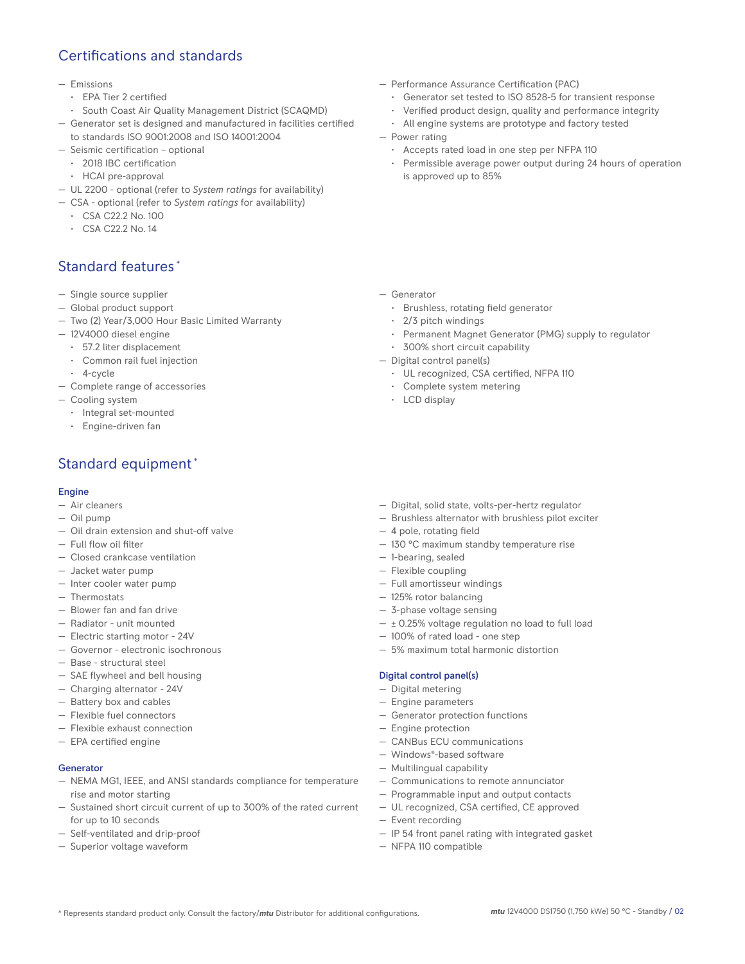# Certifications and standards

#### — Emissions

- EPA Tier 2 certified
- South Coast Air Quality Management District (SCAQMD)
- Generator set is designed and manufactured in facilities certified to standards ISO 9001:2008 and ISO 14001:2004
- Seismic certification optional
	- 2018 IBC certification
	- HCAI pre-approval
- UL 2200 optional (refer to *System ratings* for availability)
- CSA optional (refer to *System ratings* for availability)
	- CSA C22.2 No. 100
	- CSA C22.2 No. 14

# Standard features \*

- Single source supplier
- Global product support
- Two (2) Year/3,000 Hour Basic Limited Warranty
- 12V4000 diesel engine
	- 57.2 liter displacement
	- Common rail fuel injection
	- 4-cycle
- Complete range of accessories
- Cooling system
	- Integral set-mounted
	- Engine-driven fan

# Standard equipment \*

### Engine

- Air cleaners
- Oil pump
- Oil drain extension and shut-off valve
- Full flow oil filter
- Closed crankcase ventilation
- Jacket water pump
- Inter cooler water pump
- Thermostats
- Blower fan and fan drive
- Radiator unit mounted
- Electric starting motor 24V
- Governor electronic isochronous
- Base structural steel
- SAE flywheel and bell housing
- Charging alternator 24V
- Battery box and cables
- Flexible fuel connectors
- Flexible exhaust connection
- EPA certified engine

#### Generator

- NEMA MG1, IEEE, and ANSI standards compliance for temperature rise and motor starting
- Sustained short circuit current of up to 300% of the rated current for up to 10 seconds
- Self-ventilated and drip-proof
- Superior voltage waveform
- Performance Assurance Certification (PAC)
	- Generator set tested to ISO 8528-5 for transient response
	- Verified product design, quality and performance integrity
	- All engine systems are prototype and factory tested
- Power rating
	- Accepts rated load in one step per NFPA 110
	- Permissible average power output during 24 hours of operation is approved up to 85%

- Generator
	- Brushless, rotating field generator
	- 2/3 pitch windings
	- Permanent Magnet Generator (PMG) supply to regulator
	- 300% short circuit capability
- Digital control panel(s)
	- UL recognized, CSA certified, NFPA 110
	- Complete system metering
	- LCD display
- Digital, solid state, volts-per-hertz regulator
- Brushless alternator with brushless pilot exciter
- 4 pole, rotating field
- 130 °C maximum standby temperature rise
- 1-bearing, sealed
- Full amortisseur windings
- 125% rotor balancing
- 3-phase voltage sensing
- $\pm$  0.25% voltage regulation no load to full load
- 
- 5% maximum total harmonic distortion

### Digital control panel(s)

- Digital metering
- Engine parameters
- Generator protection functions
- Engine protection
- CANBus ECU communications
- Windows®-based software
- Multilingual capability
- Communications to remote annunciator
- Programmable input and output contacts
- UL recognized, CSA certified, CE approved
- Event recording
- IP 54 front panel rating with integrated gasket
- NFPA 110 compatible

# — Flexible coupling

- 
- 
- 
- 100% of rated load one step
-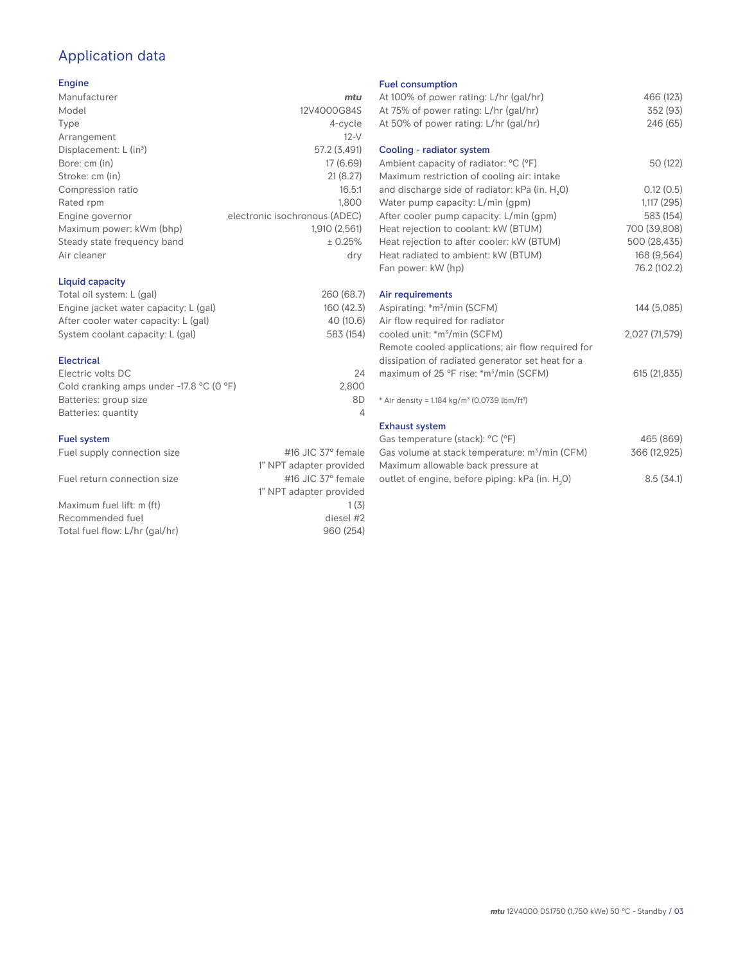# Application data

### Engine

| Manufacturer                         | mtu                           |
|--------------------------------------|-------------------------------|
| Model                                | 12V4000G84S                   |
| Type                                 | 4-cycle                       |
| Arrangement                          | $12-V$                        |
| Displacement: $L$ (in <sup>3</sup> ) | 57.2 (3,491)                  |
| Bore: cm (in)                        | 17(6.69)                      |
| Stroke: cm (in)                      | 21(8.27)                      |
| Compression ratio                    | 16.5:1                        |
| Rated rpm                            | 1.800                         |
| Engine governor                      | electronic isochronous (ADEC) |
| Maximum power: kWm (bhp)             | 1.910 (2.561)                 |
| Steady state frequency band          | ± 0.25%                       |
| Air cleaner                          | dry                           |
|                                      |                               |

### Liquid capacity

| Total oil system: L (gal)             | 260 (68.7) |
|---------------------------------------|------------|
| Engine jacket water capacity: L (gal) | 160 (42.3) |
| After cooler water capacity: L (gal)  | 40 (10.6)  |
| System coolant capacity: L (gal)      | 583 (154)  |
|                                       |            |

### Electrical

| 24    |
|-------|
| 2.800 |
| 8D    |
|       |
|       |

### Fuel system

| Fuel supply connection size    | #16 JIC $37^\circ$ female |
|--------------------------------|---------------------------|
|                                | 1" NPT adapter provided   |
| Fuel return connection size    | #16 JIC $37^\circ$ female |
|                                | 1" NPT adapter provided   |
| Maximum fuel lift: m (ft)      | 1(3)                      |
| Recommended fuel               | diesel #2                 |
| Total fuel flow: L/hr (gal/hr) | 960 (254)                 |
|                                |                           |

### Fuel consumption

| At 100% of power rating: L/hr (gal/hr)                                | 466 (123)      |
|-----------------------------------------------------------------------|----------------|
| At 75% of power rating: L/hr (gal/hr)                                 | 352 (93)       |
| At 50% of power rating: L/hr (gal/hr)                                 | 246 (65)       |
| Cooling - radiator system                                             |                |
| Ambient capacity of radiator: °C (°F)                                 | 50 (122)       |
| Maximum restriction of cooling air: intake                            |                |
| and discharge side of radiator: kPa (in. H <sub>2</sub> 0)            | 0.12(0.5)      |
| Water pump capacity: L/min (gpm)                                      | 1,117 (295)    |
| After cooler pump capacity: L/min (gpm)                               | 583 (154)      |
| Heat rejection to coolant: kW (BTUM)                                  | 700 (39,808)   |
| Heat rejection to after cooler: kW (BTUM)                             | 500 (28,435)   |
| Heat radiated to ambient: kW (BTUM)                                   | 168 (9,564)    |
| Fan power: kW (hp)                                                    | 76.2 (102.2)   |
| Air requirements                                                      |                |
| Aspirating: *m <sup>3</sup> /min (SCFM)                               | 144 (5,085)    |
| Air flow required for radiator                                        |                |
| cooled unit: *m <sup>3</sup> /min (SCFM)                              | 2,027 (71,579) |
| Remote cooled applications; air flow required for                     |                |
| dissipation of radiated generator set heat for a                      |                |
| maximum of 25 °F rise: *m <sup>3</sup> /min (SCFM)                    | 615 (21,835)   |
|                                                                       |                |
| * Air density = 1.184 kg/m <sup>3</sup> (0.0739 lbm/ft <sup>3</sup> ) |                |
| <b>Exhaust system</b>                                                 |                |
| Gas temperature (stack): °C (°F)                                      | 465 (869)      |
| Gas volume at stack temperature: m <sup>3</sup> /min (CFM)            | 366 (12,925)   |

| Maximum allowable back pressure at                          |           |
|-------------------------------------------------------------|-----------|
| outlet of engine, before piping: kPa (in. H <sub>2</sub> 0) | 8.5(34.1) |